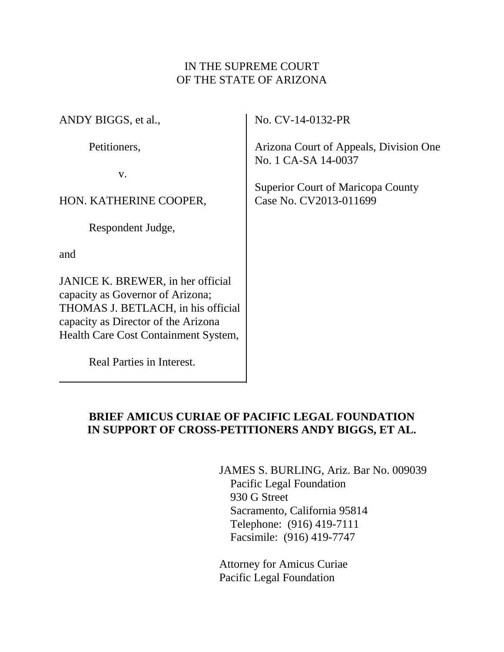## IN THE SUPREME COURT OF THE STATE OF ARIZONA

ANDY BIGGS, et al.,

Petitioners,

v.

HON. KATHERINE COOPER,

Respondent Judge,

and

JANICE K. BREWER, in her official capacity as Governor of Arizona; THOMAS J. BETLACH, in his official capacity as Director of the Arizona Health Care Cost Containment System,

Real Parties in Interest.

No. CV-14-0132-PR

Arizona Court of Appeals, Division One No. 1 CA-SA 14-0037

Superior Court of Maricopa County Case No. CV2013-011699

## **BRIEF AMICUS CURIAE OF PACIFIC LEGAL FOUNDATION IN SUPPORT OF CROSS-PETITIONERS ANDY BIGGS, ET AL.**

JAMES S. BURLING, Ariz. Bar No. 009039 Pacific Legal Foundation 930 G Street Sacramento, California 95814 Telephone: (916) 419-7111 Facsimile: (916) 419-7747

Attorney for Amicus Curiae Pacific Legal Foundation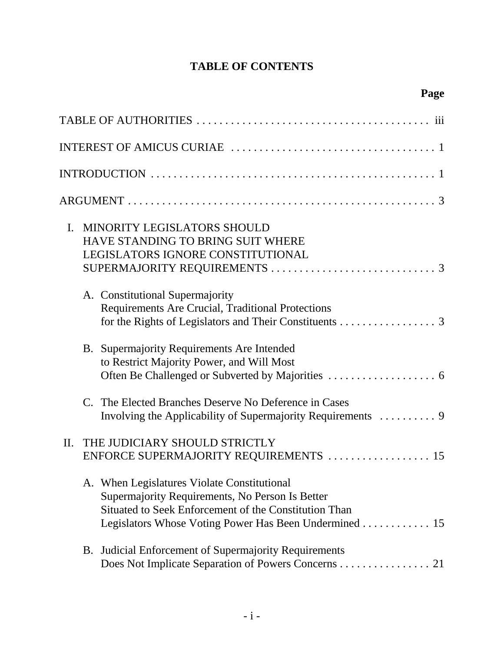# **TABLE OF CONTENTS**

| 111                                                                                                                                                                                                              |
|------------------------------------------------------------------------------------------------------------------------------------------------------------------------------------------------------------------|
|                                                                                                                                                                                                                  |
|                                                                                                                                                                                                                  |
|                                                                                                                                                                                                                  |
| <b>MINORITY LEGISLATORS SHOULD</b><br>L.<br><b>HAVE STANDING TO BRING SUIT WHERE</b><br>LEGISLATORS IGNORE CONSTITUTIONAL                                                                                        |
| A. Constitutional Supermajority<br>Requirements Are Crucial, Traditional Protections<br>for the Rights of Legislators and Their Constituents 3                                                                   |
| Supermajority Requirements Are Intended<br>B.<br>to Restrict Majority Power, and Will Most                                                                                                                       |
| The Elected Branches Deserve No Deference in Cases<br>$\mathcal{C}$ .<br>Involving the Applicability of Supermajority Requirements  9                                                                            |
| THE JUDICIARY SHOULD STRICTLY<br>II.<br>ENFORCE SUPERMAJORITY REQUIREMENTS<br>15                                                                                                                                 |
| A. When Legislatures Violate Constitutional<br>Supermajority Requirements, No Person Is Better<br>Situated to Seek Enforcement of the Constitution Than<br>Legislators Whose Voting Power Has Been Undermined 15 |
| B. Judicial Enforcement of Supermajority Requirements<br>Does Not Implicate Separation of Powers Concerns 21                                                                                                     |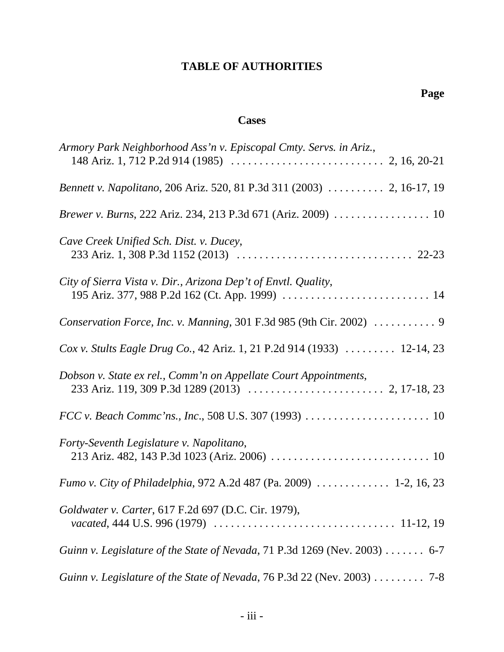# **TABLE OF AUTHORITIES**

## **Cases**

| Armory Park Neighborhood Ass'n v. Episcopal Cmty. Servs. in Ariz.,                    |
|---------------------------------------------------------------------------------------|
|                                                                                       |
| Bennett v. Napolitano, 206 Ariz. 520, 81 P.3d 311 (2003)  2, 16-17, 19                |
| Brewer v. Burns, 222 Ariz. 234, 213 P.3d 671 (Ariz. 2009) 10                          |
| Cave Creek Unified Sch. Dist. v. Ducey,                                               |
| City of Sierra Vista v. Dir., Arizona Dep't of Envtl. Quality,                        |
| Conservation Force, Inc. v. Manning, 301 F.3d 985 (9th Cir. 2002)  9                  |
| Cox v. Stults Eagle Drug Co., 42 Ariz. 1, 21 P.2d 914 (1933)  12-14, 23               |
| Dobson v. State ex rel., Comm'n on Appellate Court Appointments,                      |
|                                                                                       |
| Forty-Seventh Legislature v. Napolitano,                                              |
| Fumo v. City of Philadelphia, 972 A.2d 487 (Pa. 2009)  1-2, 16, 23                    |
| Goldwater v. Carter, 617 F.2d 697 (D.C. Cir. 1979),                                   |
| Guinn v. Legislature of the State of Nevada, 71 P.3d 1269 (Nev. 2003) 6-7             |
| Guinn v. Legislature of the State of Nevada, 76 P.3d 22 (Nev. 2003) $\dots \dots$ 7-8 |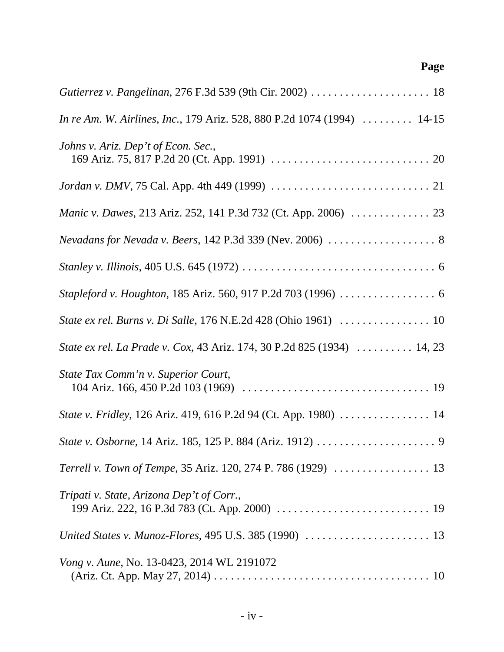| In re Am. W. Airlines, Inc., 179 Ariz. 528, 880 P.2d 1074 (1994)  14-15 |
|-------------------------------------------------------------------------|
| Johns v. Ariz. Dep't of Econ. Sec.,                                     |
|                                                                         |
|                                                                         |
| Nevadans for Nevada v. Beers, 142 P.3d 339 (Nev. 2006)  8               |
|                                                                         |
|                                                                         |
|                                                                         |
| State ex rel. La Prade v. Cox, 43 Ariz. 174, 30 P.2d 825 (1934)  14, 23 |
| State Tax Comm'n v. Superior Court,                                     |
| State v. Fridley, 126 Ariz. 419, 616 P.2d 94 (Ct. App. 1980)  14        |
|                                                                         |
|                                                                         |
| Tripati v. State, Arizona Dep't of Corr.,                               |
|                                                                         |
| <i>Vong v. Aune, No.</i> 13-0423, 2014 WL 2191072                       |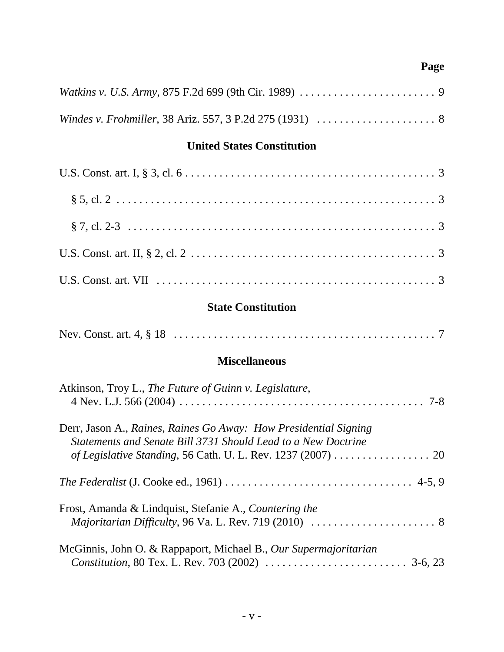# **United States Constitution**

# **State Constitution**

|--|--|

## **Miscellaneous**

| Atkinson, Troy L., The Future of Guinn v. Legislature,                                                                                                                                 |
|----------------------------------------------------------------------------------------------------------------------------------------------------------------------------------------|
| Derr, Jason A., Raines, Raines Go Away: How Presidential Signing<br>Statements and Senate Bill 3731 Should Lead to a New Doctrine                                                      |
|                                                                                                                                                                                        |
| Frost, Amanda & Lindquist, Stefanie A., Countering the<br><i>Majoritarian Difficulty, 96 Va. L. Rev. 719 (2010) <math>\ldots \ldots \ldots \ldots \ldots \ldots \ldots</math>8</i>     |
| McGinnis, John O. & Rappaport, Michael B., Our Supermajoritarian<br><i>Constitution</i> , 80 Tex. L. Rev. 703 (2002) $\ldots \ldots \ldots \ldots \ldots \ldots \ldots \ldots$ 3-6, 23 |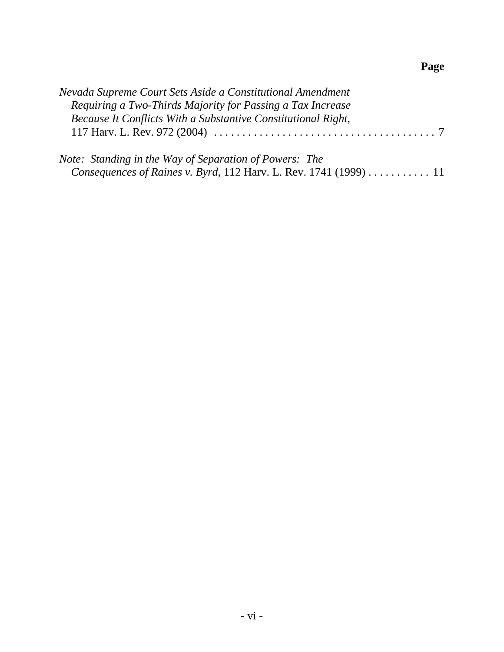| Nevada Supreme Court Sets Aside a Constitutional Amendment                                                                                                                                                                                                                                                                                                                                                                                                                                               |  |
|----------------------------------------------------------------------------------------------------------------------------------------------------------------------------------------------------------------------------------------------------------------------------------------------------------------------------------------------------------------------------------------------------------------------------------------------------------------------------------------------------------|--|
| Requiring a Two-Thirds Majority for Passing a Tax Increase                                                                                                                                                                                                                                                                                                                                                                                                                                               |  |
| Because It Conflicts With a Substantive Constitutional Right,                                                                                                                                                                                                                                                                                                                                                                                                                                            |  |
|                                                                                                                                                                                                                                                                                                                                                                                                                                                                                                          |  |
| $N_{\alpha}$ $\epsilon_{\alpha}$ , $\epsilon_{\alpha}$ $\epsilon_{\alpha}$ $\epsilon_{\alpha}$ $\epsilon_{\alpha}$ $\epsilon_{\alpha}$ $\epsilon_{\alpha}$ $\epsilon_{\alpha}$ $\epsilon_{\alpha}$ $\epsilon_{\alpha}$ $\epsilon_{\alpha}$ $\epsilon_{\alpha}$ $\epsilon_{\alpha}$ $\epsilon_{\alpha}$ $\epsilon_{\alpha}$ $\epsilon_{\alpha}$ $\epsilon_{\alpha}$ $\epsilon_{\alpha}$ $\epsilon_{\alpha}$ $\epsilon_{\alpha}$ $\epsilon_{\alpha}$ $\epsilon_{\alpha}$ $\epsilon_{\alpha}$ $\epsilon_{\$ |  |

| Note: Standing in the Way of Separation of Powers: The |  |                                                                         |  |
|--------------------------------------------------------|--|-------------------------------------------------------------------------|--|
|                                                        |  | <i>Consequences of Raines v. Byrd, 112 Harv. L. Rev. 1741 (1999)</i> 11 |  |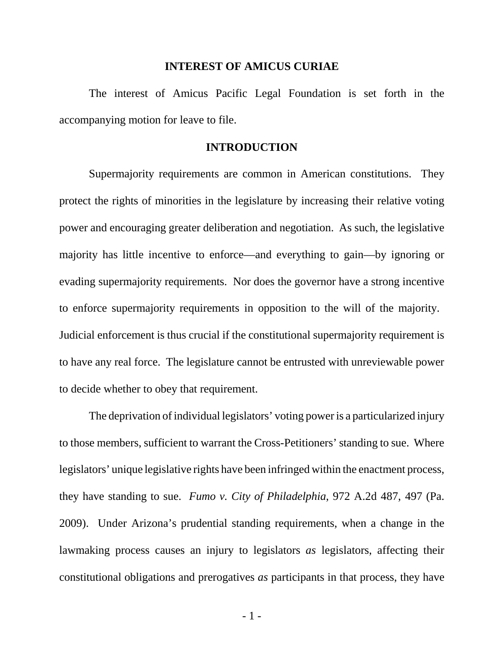#### **INTEREST OF AMICUS CURIAE**

The interest of Amicus Pacific Legal Foundation is set forth in the accompanying motion for leave to file.

#### **INTRODUCTION**

Supermajority requirements are common in American constitutions. They protect the rights of minorities in the legislature by increasing their relative voting power and encouraging greater deliberation and negotiation. As such, the legislative majority has little incentive to enforce—and everything to gain—by ignoring or evading supermajority requirements. Nor does the governor have a strong incentive to enforce supermajority requirements in opposition to the will of the majority. Judicial enforcement is thus crucial if the constitutional supermajority requirement is to have any real force. The legislature cannot be entrusted with unreviewable power to decide whether to obey that requirement.

The deprivation of individual legislators' voting power is a particularized injury to those members, sufficient to warrant the Cross-Petitioners' standing to sue. Where legislators' unique legislative rights have been infringed within the enactment process, they have standing to sue. *Fumo v. City of Philadelphia*, 972 A.2d 487, 497 (Pa. 2009). Under Arizona's prudential standing requirements, when a change in the lawmaking process causes an injury to legislators *as* legislators, affecting their constitutional obligations and prerogatives *as* participants in that process, they have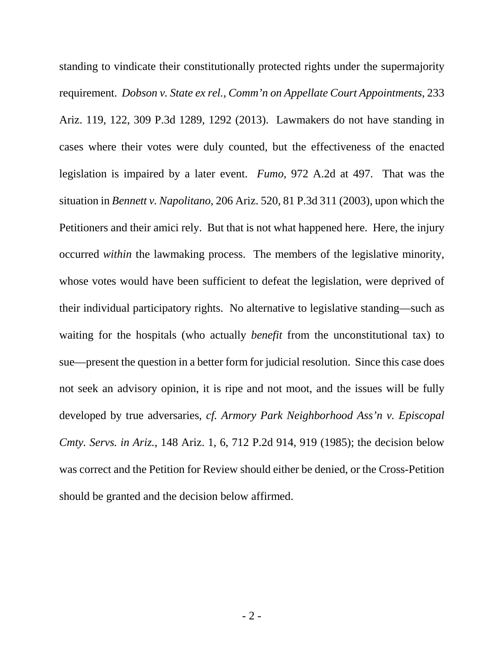standing to vindicate their constitutionally protected rights under the supermajority requirement. *Dobson v. State ex rel., Comm'n on Appellate Court Appointments*, 233 Ariz. 119, 122, 309 P.3d 1289, 1292 (2013). Lawmakers do not have standing in cases where their votes were duly counted, but the effectiveness of the enacted legislation is impaired by a later event. *Fumo*, 972 A.2d at 497. That was the situation in *Bennett v. Napolitano*, 206 Ariz. 520, 81 P.3d 311 (2003), upon which the Petitioners and their amici rely. But that is not what happened here. Here, the injury occurred *within* the lawmaking process. The members of the legislative minority, whose votes would have been sufficient to defeat the legislation, were deprived of their individual participatory rights. No alternative to legislative standing—such as waiting for the hospitals (who actually *benefit* from the unconstitutional tax) to sue—present the question in a better form for judicial resolution. Since this case does not seek an advisory opinion, it is ripe and not moot, and the issues will be fully developed by true adversaries, *cf. Armory Park Neighborhood Ass'n v. Episcopal Cmty. Servs. in Ariz.*, 148 Ariz. 1, 6, 712 P.2d 914, 919 (1985); the decision below was correct and the Petition for Review should either be denied, or the Cross-Petition should be granted and the decision below affirmed.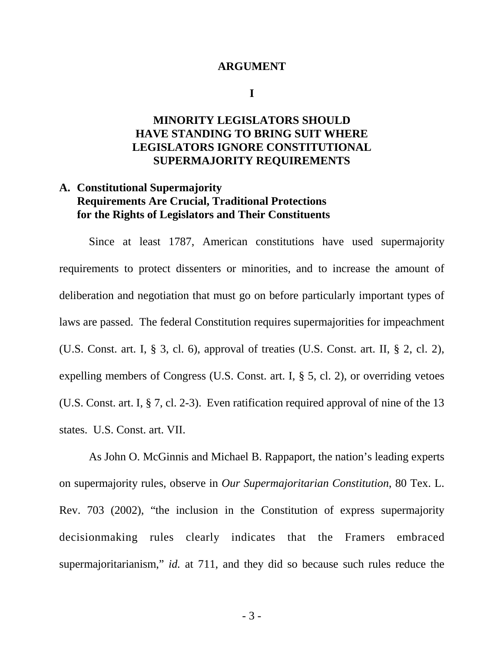#### **ARGUMENT**

**I**

## **MINORITY LEGISLATORS SHOULD HAVE STANDING TO BRING SUIT WHERE LEGISLATORS IGNORE CONSTITUTIONAL SUPERMAJORITY REQUIREMENTS**

## **A. Constitutional Supermajority Requirements Are Crucial, Traditional Protections for the Rights of Legislators and Their Constituents**

Since at least 1787, American constitutions have used supermajority requirements to protect dissenters or minorities, and to increase the amount of deliberation and negotiation that must go on before particularly important types of laws are passed. The federal Constitution requires supermajorities for impeachment (U.S. Const. art. I, § 3, cl. 6), approval of treaties (U.S. Const. art. II, § 2, cl. 2), expelling members of Congress (U.S. Const. art. I, § 5, cl. 2), or overriding vetoes (U.S. Const. art. I, § 7, cl. 2-3). Even ratification required approval of nine of the 13 states. U.S. Const. art. VII.

As John O. McGinnis and Michael B. Rappaport, the nation's leading experts on supermajority rules, observe in *Our Supermajoritarian Constitution*, 80 Tex. L. Rev. 703 (2002), "the inclusion in the Constitution of express supermajority decisionmaking rules clearly indicates that the Framers embraced supermajoritarianism," *id.* at 711, and they did so because such rules reduce the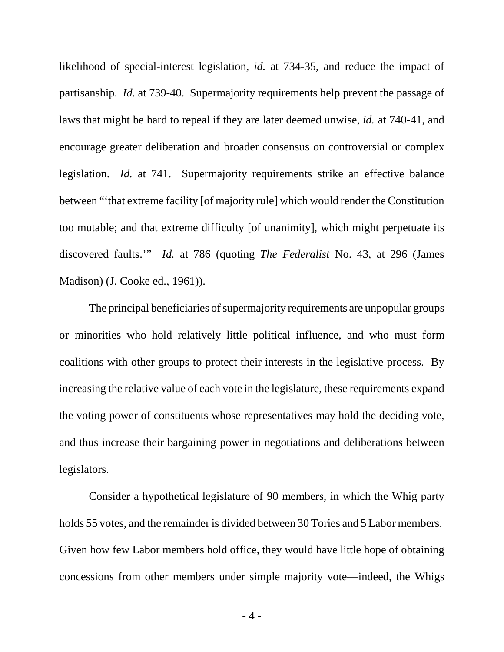likelihood of special-interest legislation, *id.* at 734-35, and reduce the impact of partisanship. *Id.* at 739-40. Supermajority requirements help prevent the passage of laws that might be hard to repeal if they are later deemed unwise, *id.* at 740-41, and encourage greater deliberation and broader consensus on controversial or complex legislation. *Id.* at 741. Supermajority requirements strike an effective balance between "'that extreme facility [of majority rule] which would render the Constitution too mutable; and that extreme difficulty [of unanimity], which might perpetuate its discovered faults.'" *Id.* at 786 (quoting *The Federalist* No. 43, at 296 (James Madison) (J. Cooke ed., 1961)).

The principal beneficiaries of supermajority requirements are unpopular groups or minorities who hold relatively little political influence, and who must form coalitions with other groups to protect their interests in the legislative process. By increasing the relative value of each vote in the legislature, these requirements expand the voting power of constituents whose representatives may hold the deciding vote, and thus increase their bargaining power in negotiations and deliberations between legislators.

Consider a hypothetical legislature of 90 members, in which the Whig party holds 55 votes, and the remainder is divided between 30 Tories and 5 Labor members. Given how few Labor members hold office, they would have little hope of obtaining concessions from other members under simple majority vote—indeed, the Whigs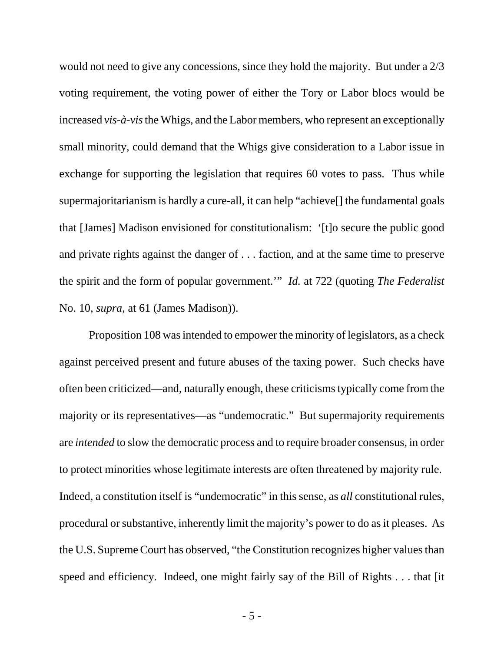would not need to give any concessions, since they hold the majority. But under a 2/3 voting requirement, the voting power of either the Tory or Labor blocs would be increased *vis-à-vis* the Whigs, and the Labor members, who represent an exceptionally small minority, could demand that the Whigs give consideration to a Labor issue in exchange for supporting the legislation that requires 60 votes to pass. Thus while supermajoritarianism is hardly a cure-all, it can help "achieve[] the fundamental goals that [James] Madison envisioned for constitutionalism: '[t]o secure the public good and private rights against the danger of . . . faction, and at the same time to preserve the spirit and the form of popular government.'" *Id.* at 722 (quoting *The Federalist* No. 10, *supra*, at 61 (James Madison)).

Proposition 108 was intended to empower the minority of legislators, as a check against perceived present and future abuses of the taxing power. Such checks have often been criticized—and, naturally enough, these criticisms typically come from the majority or its representatives—as "undemocratic." But supermajority requirements are *intended* to slow the democratic process and to require broader consensus, in order to protect minorities whose legitimate interests are often threatened by majority rule. Indeed, a constitution itself is "undemocratic" in this sense, as *all* constitutional rules, procedural or substantive, inherently limit the majority's power to do as it pleases. As the U.S. Supreme Court has observed, "the Constitution recognizes higher values than speed and efficiency. Indeed, one might fairly say of the Bill of Rights . . . that [it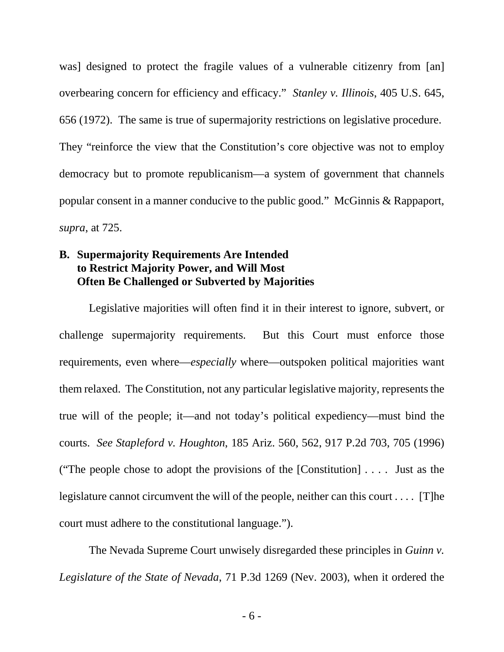was] designed to protect the fragile values of a vulnerable citizenry from [an] overbearing concern for efficiency and efficacy." *Stanley v. Illinois*, 405 U.S. 645, 656 (1972). The same is true of supermajority restrictions on legislative procedure. They "reinforce the view that the Constitution's core objective was not to employ democracy but to promote republicanism—a system of government that channels popular consent in a manner conducive to the public good." McGinnis & Rappaport, *supra*, at 725.

## **B. Supermajority Requirements Are Intended to Restrict Majority Power, and Will Most Often Be Challenged or Subverted by Majorities**

Legislative majorities will often find it in their interest to ignore, subvert, or challenge supermajority requirements. But this Court must enforce those requirements, even where—*especially* where—outspoken political majorities want them relaxed. The Constitution, not any particular legislative majority, represents the true will of the people; it—and not today's political expediency—must bind the courts. *See Stapleford v. Houghton*, 185 Ariz. 560, 562, 917 P.2d 703, 705 (1996) ("The people chose to adopt the provisions of the [Constitution] . . . . Just as the legislature cannot circumvent the will of the people, neither can this court . . . . [T]he court must adhere to the constitutional language.").

The Nevada Supreme Court unwisely disregarded these principles in *Guinn v. Legislature of the State of Nevada*, 71 P.3d 1269 (Nev. 2003), when it ordered the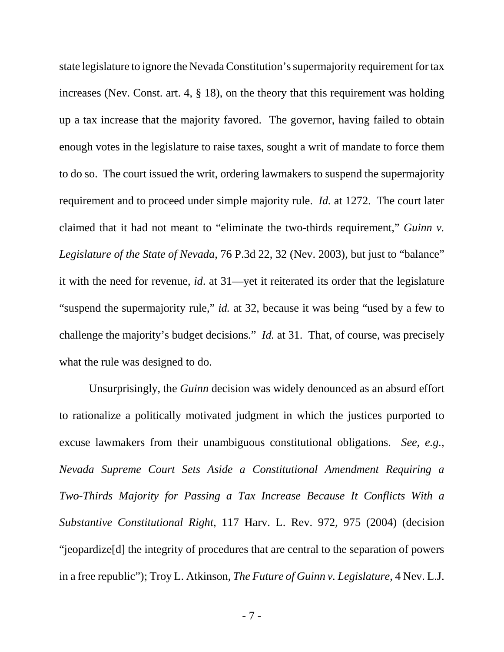state legislature to ignore the Nevada Constitution's supermajority requirement for tax increases (Nev. Const. art. 4, § 18), on the theory that this requirement was holding up a tax increase that the majority favored. The governor, having failed to obtain enough votes in the legislature to raise taxes, sought a writ of mandate to force them to do so. The court issued the writ, ordering lawmakers to suspend the supermajority requirement and to proceed under simple majority rule. *Id.* at 1272. The court later claimed that it had not meant to "eliminate the two-thirds requirement," *Guinn v. Legislature of the State of Nevada*, 76 P.3d 22, 32 (Nev. 2003), but just to "balance" it with the need for revenue, *id*. at 31—yet it reiterated its order that the legislature "suspend the supermajority rule," *id.* at 32, because it was being "used by a few to challenge the majority's budget decisions." *Id.* at 31. That, of course, was precisely what the rule was designed to do.

Unsurprisingly, the *Guinn* decision was widely denounced as an absurd effort to rationalize a politically motivated judgment in which the justices purported to excuse lawmakers from their unambiguous constitutional obligations. *See*, *e.g.*, *Nevada Supreme Court Sets Aside a Constitutional Amendment Requiring a Two-Thirds Majority for Passing a Tax Increase Because It Conflicts With a Substantive Constitutional Right*, 117 Harv. L. Rev. 972, 975 (2004) (decision "jeopardize[d] the integrity of procedures that are central to the separation of powers in a free republic"); Troy L. Atkinson, *The Future of Guinn v. Legislature*, 4 Nev. L.J.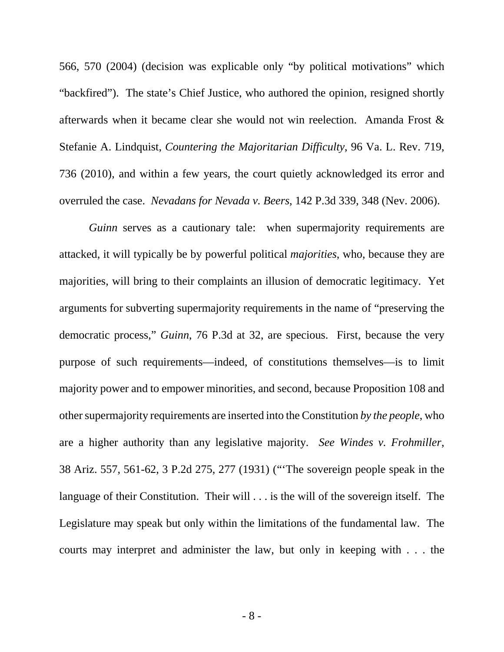566, 570 (2004) (decision was explicable only "by political motivations" which "backfired"). The state's Chief Justice, who authored the opinion, resigned shortly afterwards when it became clear she would not win reelection. Amanda Frost & Stefanie A. Lindquist, *Countering the Majoritarian Difficulty*, 96 Va. L. Rev. 719, 736 (2010), and within a few years, the court quietly acknowledged its error and overruled the case. *Nevadans for Nevada v. Beers*, 142 P.3d 339, 348 (Nev. 2006).

*Guinn* serves as a cautionary tale: when supermajority requirements are attacked, it will typically be by powerful political *majorities*, who, because they are majorities, will bring to their complaints an illusion of democratic legitimacy. Yet arguments for subverting supermajority requirements in the name of "preserving the democratic process," *Guinn*, 76 P.3d at 32, are specious. First, because the very purpose of such requirements—indeed, of constitutions themselves—is to limit majority power and to empower minorities, and second, because Proposition 108 and other supermajority requirements are inserted into the Constitution *by the people*, who are a higher authority than any legislative majority. *See Windes v. Frohmiller*, 38 Ariz. 557, 561-62, 3 P.2d 275, 277 (1931) ("'The sovereign people speak in the language of their Constitution. Their will . . . is the will of the sovereign itself. The Legislature may speak but only within the limitations of the fundamental law. The courts may interpret and administer the law, but only in keeping with . . . the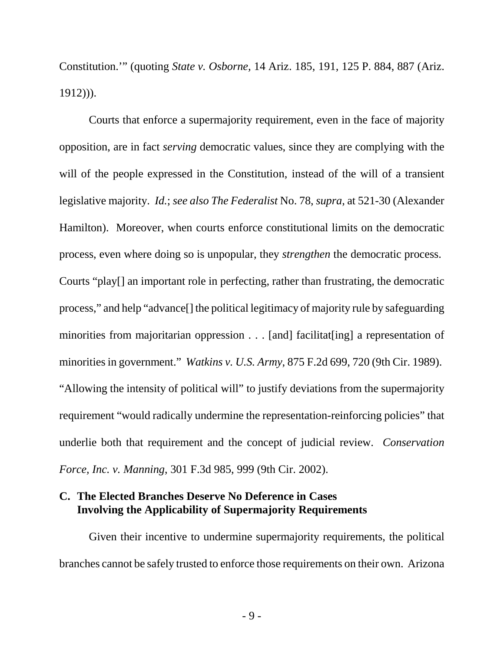Constitution.'" (quoting *State v. Osborne,* 14 Ariz. 185, 191, 125 P. 884, 887 (Ariz. 1912))).

Courts that enforce a supermajority requirement, even in the face of majority opposition, are in fact *serving* democratic values, since they are complying with the will of the people expressed in the Constitution, instead of the will of a transient legislative majority. *Id.*; *see also The Federalist* No. 78, *supra*, at 521-30 (Alexander Hamilton). Moreover, when courts enforce constitutional limits on the democratic process, even where doing so is unpopular, they *strengthen* the democratic process. Courts "play[] an important role in perfecting, rather than frustrating, the democratic process," and help "advance[] the political legitimacy of majority rule by safeguarding minorities from majoritarian oppression . . . [and] facilitat[ing] a representation of minorities in government." *Watkins v. U.S. Army*, 875 F.2d 699, 720 (9th Cir. 1989). "Allowing the intensity of political will" to justify deviations from the supermajority requirement "would radically undermine the representation-reinforcing policies" that underlie both that requirement and the concept of judicial review. *Conservation Force, Inc. v. Manning*, 301 F.3d 985, 999 (9th Cir. 2002).

### **C. The Elected Branches Deserve No Deference in Cases Involving the Applicability of Supermajority Requirements**

Given their incentive to undermine supermajority requirements, the political branches cannot be safely trusted to enforce those requirements on their own. Arizona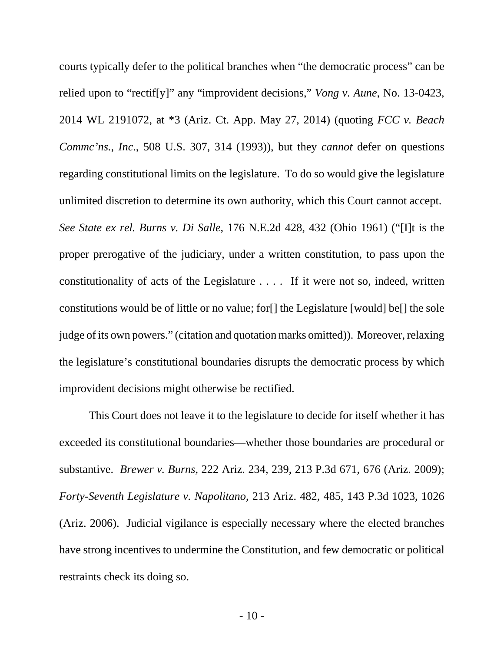courts typically defer to the political branches when "the democratic process" can be relied upon to "rectif[y]" any "improvident decisions," *Vong v. Aune*, No. 13-0423, 2014 WL 2191072, at \*3 (Ariz. Ct. App. May 27, 2014) (quoting *FCC v. Beach Commc'ns., Inc*., 508 U.S. 307, 314 (1993)), but they *cannot* defer on questions regarding constitutional limits on the legislature. To do so would give the legislature unlimited discretion to determine its own authority, which this Court cannot accept. *See State ex rel. Burns v. Di Salle*, 176 N.E.2d 428, 432 (Ohio 1961) ("[I]t is the proper prerogative of the judiciary, under a written constitution, to pass upon the constitutionality of acts of the Legislature . . . . If it were not so, indeed, written constitutions would be of little or no value; for[] the Legislature [would] be[] the sole judge of its own powers." (citation and quotation marks omitted)). Moreover, relaxing the legislature's constitutional boundaries disrupts the democratic process by which improvident decisions might otherwise be rectified.

This Court does not leave it to the legislature to decide for itself whether it has exceeded its constitutional boundaries—whether those boundaries are procedural or substantive. *Brewer v. Burns*, 222 Ariz. 234, 239, 213 P.3d 671, 676 (Ariz. 2009); *Forty-Seventh Legislature v. Napolitano*, 213 Ariz. 482, 485, 143 P.3d 1023, 1026 (Ariz. 2006). Judicial vigilance is especially necessary where the elected branches have strong incentives to undermine the Constitution, and few democratic or political restraints check its doing so.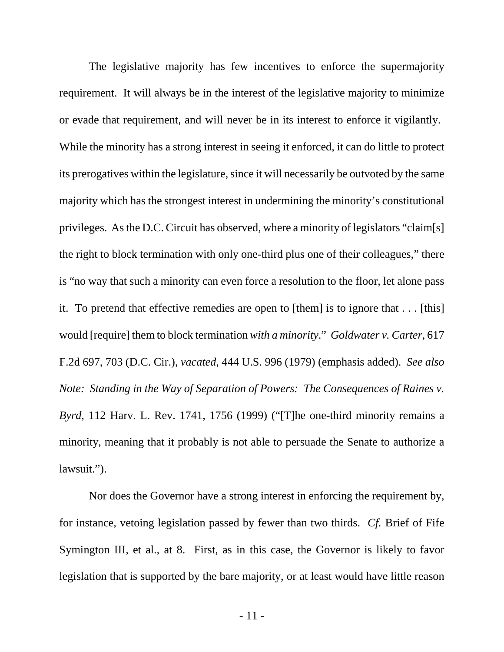The legislative majority has few incentives to enforce the supermajority requirement. It will always be in the interest of the legislative majority to minimize or evade that requirement, and will never be in its interest to enforce it vigilantly. While the minority has a strong interest in seeing it enforced, it can do little to protect its prerogatives within the legislature, since it will necessarily be outvoted by the same majority which has the strongest interest in undermining the minority's constitutional privileges. As the D.C. Circuit has observed, where a minority of legislators "claim[s] the right to block termination with only one-third plus one of their colleagues," there is "no way that such a minority can even force a resolution to the floor, let alone pass it. To pretend that effective remedies are open to [them] is to ignore that . . . [this] would [require] them to block termination *with a minority*." *Goldwater v. Carter*, 617 F.2d 697, 703 (D.C. Cir.), *vacated*, 444 U.S. 996 (1979) (emphasis added). *See also Note: Standing in the Way of Separation of Powers: The Consequences of Raines v. Byrd*, 112 Harv. L. Rev. 1741, 1756 (1999) ("[T]he one-third minority remains a minority, meaning that it probably is not able to persuade the Senate to authorize a lawsuit.").

Nor does the Governor have a strong interest in enforcing the requirement by, for instance, vetoing legislation passed by fewer than two thirds. *Cf.* Brief of Fife Symington III, et al., at 8. First, as in this case, the Governor is likely to favor legislation that is supported by the bare majority, or at least would have little reason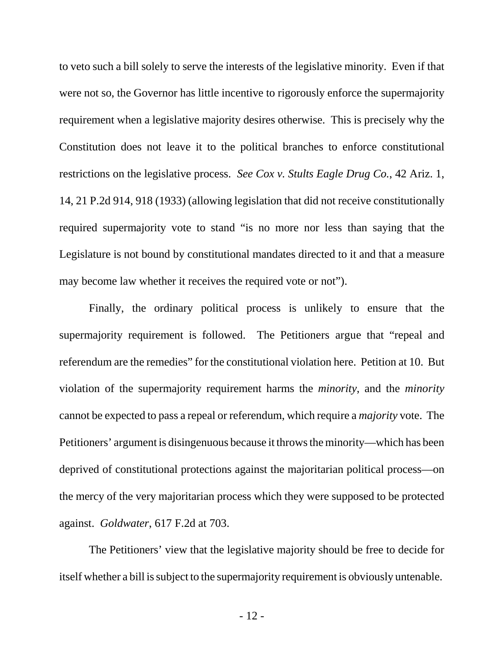to veto such a bill solely to serve the interests of the legislative minority. Even if that were not so, the Governor has little incentive to rigorously enforce the supermajority requirement when a legislative majority desires otherwise. This is precisely why the Constitution does not leave it to the political branches to enforce constitutional restrictions on the legislative process. *See Cox v. Stults Eagle Drug Co.*, 42 Ariz. 1, 14, 21 P.2d 914, 918 (1933) (allowing legislation that did not receive constitutionally required supermajority vote to stand "is no more nor less than saying that the Legislature is not bound by constitutional mandates directed to it and that a measure may become law whether it receives the required vote or not").

Finally, the ordinary political process is unlikely to ensure that the supermajority requirement is followed. The Petitioners argue that "repeal and referendum are the remedies" for the constitutional violation here. Petition at 10. But violation of the supermajority requirement harms the *minority*, and the *minority* cannot be expected to pass a repeal or referendum, which require a *majority* vote. The Petitioners' argument is disingenuous because it throws the minority—which has been deprived of constitutional protections against the majoritarian political process—on the mercy of the very majoritarian process which they were supposed to be protected against. *Goldwater*, 617 F.2d at 703.

The Petitioners' view that the legislative majority should be free to decide for itself whether a bill is subject to the supermajority requirement is obviously untenable.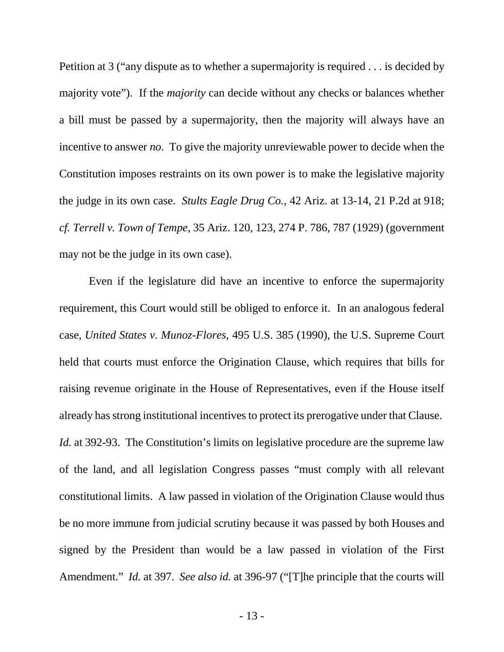Petition at 3 ("any dispute as to whether a supermajority is required . . . is decided by majority vote"). If the *majority* can decide without any checks or balances whether a bill must be passed by a supermajority, then the majority will always have an incentive to answer *no*. To give the majority unreviewable power to decide when the Constitution imposes restraints on its own power is to make the legislative majority the judge in its own case. *Stults Eagle Drug Co.*, 42 Ariz. at 13-14, 21 P.2d at 918; *cf. Terrell v. Town of Tempe*, 35 Ariz. 120, 123, 274 P. 786, 787 (1929) (government may not be the judge in its own case).

Even if the legislature did have an incentive to enforce the supermajority requirement, this Court would still be obliged to enforce it. In an analogous federal case, *United States v. Munoz-Flores*, 495 U.S. 385 (1990), the U.S. Supreme Court held that courts must enforce the Origination Clause, which requires that bills for raising revenue originate in the House of Representatives, even if the House itself already has strong institutional incentives to protect its prerogative under that Clause. *Id.* at 392-93. The Constitution's limits on legislative procedure are the supreme law of the land, and all legislation Congress passes "must comply with all relevant constitutional limits. A law passed in violation of the Origination Clause would thus be no more immune from judicial scrutiny because it was passed by both Houses and signed by the President than would be a law passed in violation of the First Amendment." *Id.* at 397. *See also id.* at 396-97 ("[T]he principle that the courts will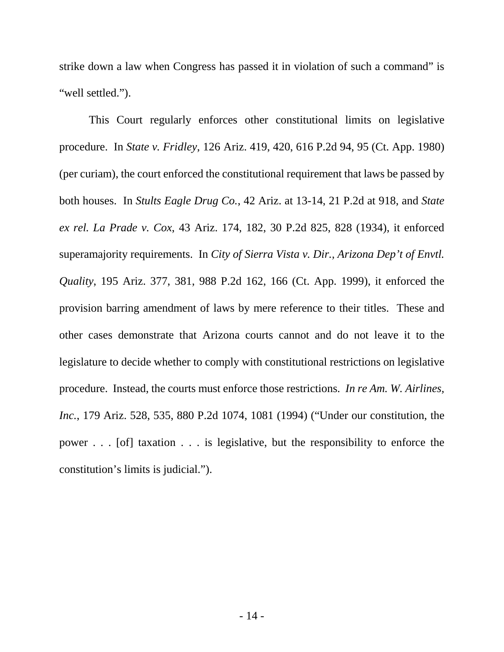strike down a law when Congress has passed it in violation of such a command" is "well settled.").

This Court regularly enforces other constitutional limits on legislative procedure. In *State v. Fridley*, 126 Ariz. 419, 420, 616 P.2d 94, 95 (Ct. App. 1980) (per curiam), the court enforced the constitutional requirement that laws be passed by both houses. In *Stults Eagle Drug Co.*, 42 Ariz. at 13-14, 21 P.2d at 918, and *State ex rel. La Prade v. Cox*, 43 Ariz. 174, 182, 30 P.2d 825, 828 (1934), it enforced superamajority requirements. In *City of Sierra Vista v. Dir., Arizona Dep't of Envtl. Quality*, 195 Ariz. 377, 381, 988 P.2d 162, 166 (Ct. App. 1999), it enforced the provision barring amendment of laws by mere reference to their titles. These and other cases demonstrate that Arizona courts cannot and do not leave it to the legislature to decide whether to comply with constitutional restrictions on legislative procedure. Instead, the courts must enforce those restrictions. *In re Am. W. Airlines, Inc.*, 179 Ariz. 528, 535, 880 P.2d 1074, 1081 (1994) ("Under our constitution, the power . . . [of] taxation . . . is legislative, but the responsibility to enforce the constitution's limits is judicial.").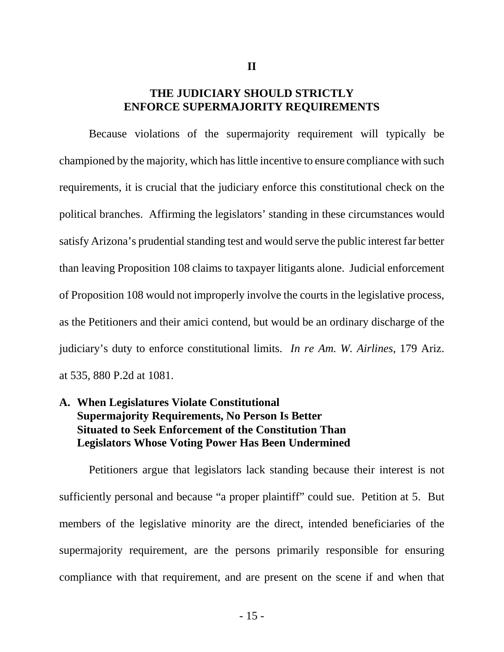### **THE JUDICIARY SHOULD STRICTLY ENFORCE SUPERMAJORITY REQUIREMENTS**

Because violations of the supermajority requirement will typically be championed by the majority, which has little incentive to ensure compliance with such requirements, it is crucial that the judiciary enforce this constitutional check on the political branches. Affirming the legislators' standing in these circumstances would satisfy Arizona's prudential standing test and would serve the public interest far better than leaving Proposition 108 claims to taxpayer litigants alone. Judicial enforcement of Proposition 108 would not improperly involve the courts in the legislative process, as the Petitioners and their amici contend, but would be an ordinary discharge of the judiciary's duty to enforce constitutional limits. *In re Am. W. Airlines*, 179 Ariz. at 535, 880 P.2d at 1081.

### **A. When Legislatures Violate Constitutional Supermajority Requirements, No Person Is Better Situated to Seek Enforcement of the Constitution Than Legislators Whose Voting Power Has Been Undermined**

Petitioners argue that legislators lack standing because their interest is not sufficiently personal and because "a proper plaintiff" could sue. Petition at 5. But members of the legislative minority are the direct, intended beneficiaries of the supermajority requirement, are the persons primarily responsible for ensuring compliance with that requirement, and are present on the scene if and when that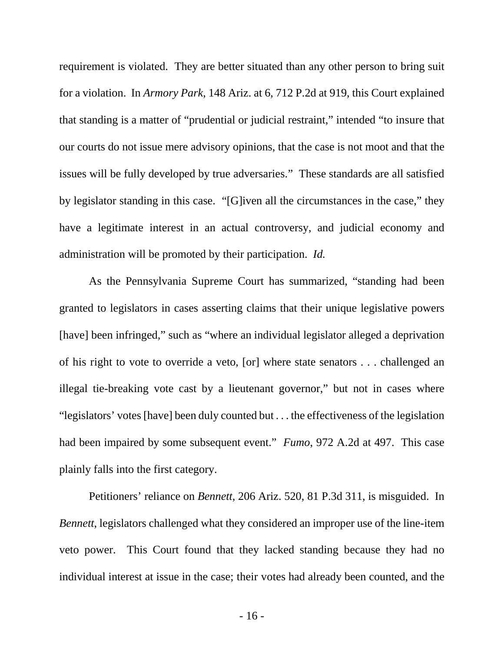requirement is violated. They are better situated than any other person to bring suit for a violation. In *Armory Park*, 148 Ariz. at 6, 712 P.2d at 919, this Court explained that standing is a matter of "prudential or judicial restraint," intended "to insure that our courts do not issue mere advisory opinions, that the case is not moot and that the issues will be fully developed by true adversaries." These standards are all satisfied by legislator standing in this case. "[G]iven all the circumstances in the case," they have a legitimate interest in an actual controversy, and judicial economy and administration will be promoted by their participation. *Id.*

As the Pennsylvania Supreme Court has summarized, "standing had been granted to legislators in cases asserting claims that their unique legislative powers [have] been infringed," such as "where an individual legislator alleged a deprivation of his right to vote to override a veto, [or] where state senators . . . challenged an illegal tie-breaking vote cast by a lieutenant governor," but not in cases where "legislators' votes [have] been duly counted but . . . the effectiveness of the legislation had been impaired by some subsequent event." *Fumo*, 972 A.2d at 497. This case plainly falls into the first category.

Petitioners' reliance on *Bennett*, 206 Ariz. 520, 81 P.3d 311, is misguided. In *Bennett*, legislators challenged what they considered an improper use of the line-item veto power. This Court found that they lacked standing because they had no individual interest at issue in the case; their votes had already been counted, and the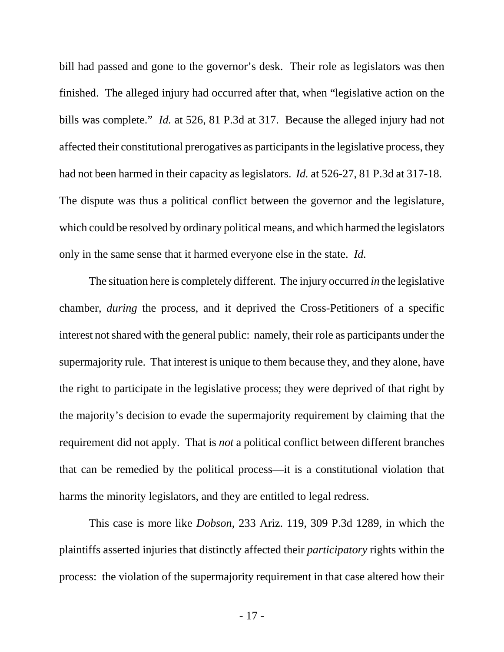bill had passed and gone to the governor's desk. Their role as legislators was then finished. The alleged injury had occurred after that, when "legislative action on the bills was complete." *Id.* at 526, 81 P.3d at 317. Because the alleged injury had not affected their constitutional prerogatives as participants in the legislative process, they had not been harmed in their capacity as legislators. *Id.* at 526-27, 81 P.3d at 317-18. The dispute was thus a political conflict between the governor and the legislature, which could be resolved by ordinary political means, and which harmed the legislators only in the same sense that it harmed everyone else in the state. *Id.*

The situation here is completely different. The injury occurred *in* the legislative chamber, *during* the process, and it deprived the Cross-Petitioners of a specific interest not shared with the general public: namely, their role as participants under the supermajority rule. That interest is unique to them because they, and they alone, have the right to participate in the legislative process; they were deprived of that right by the majority's decision to evade the supermajority requirement by claiming that the requirement did not apply. That is *not* a political conflict between different branches that can be remedied by the political process—it is a constitutional violation that harms the minority legislators, and they are entitled to legal redress.

This case is more like *Dobson*, 233 Ariz. 119, 309 P.3d 1289, in which the plaintiffs asserted injuries that distinctly affected their *participatory* rights within the process: the violation of the supermajority requirement in that case altered how their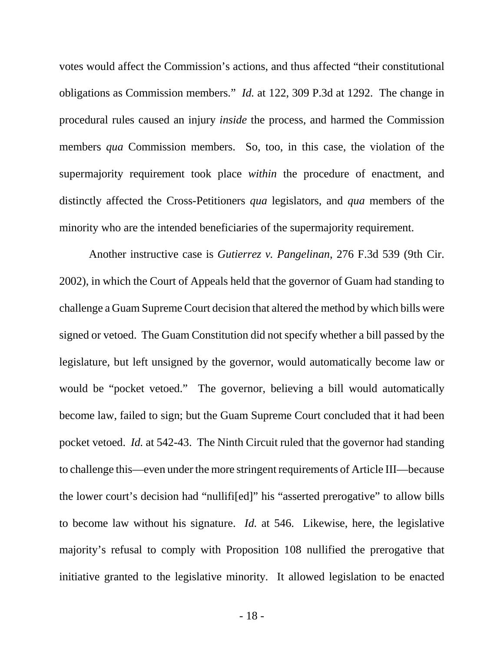votes would affect the Commission's actions, and thus affected "their constitutional obligations as Commission members." *Id.* at 122, 309 P.3d at 1292. The change in procedural rules caused an injury *inside* the process, and harmed the Commission members *qua* Commission members. So, too, in this case, the violation of the supermajority requirement took place *within* the procedure of enactment, and distinctly affected the Cross-Petitioners *qua* legislators, and *qua* members of the minority who are the intended beneficiaries of the supermajority requirement.

Another instructive case is *Gutierrez v. Pangelinan*, 276 F.3d 539 (9th Cir. 2002), in which the Court of Appeals held that the governor of Guam had standing to challenge a Guam Supreme Court decision that altered the method by which bills were signed or vetoed. The Guam Constitution did not specify whether a bill passed by the legislature, but left unsigned by the governor, would automatically become law or would be "pocket vetoed." The governor, believing a bill would automatically become law, failed to sign; but the Guam Supreme Court concluded that it had been pocket vetoed. *Id.* at 542-43. The Ninth Circuit ruled that the governor had standing to challenge this—even under the more stringent requirements of Article III—because the lower court's decision had "nullifi[ed]" his "asserted prerogative" to allow bills to become law without his signature. *Id.* at 546. Likewise, here, the legislative majority's refusal to comply with Proposition 108 nullified the prerogative that initiative granted to the legislative minority. It allowed legislation to be enacted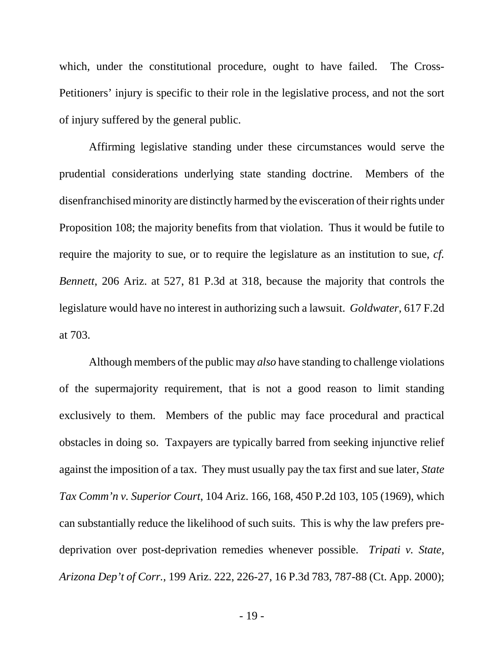which, under the constitutional procedure, ought to have failed. The Cross-Petitioners' injury is specific to their role in the legislative process, and not the sort of injury suffered by the general public.

Affirming legislative standing under these circumstances would serve the prudential considerations underlying state standing doctrine. Members of the disenfranchised minority are distinctly harmed by the evisceration of their rights under Proposition 108; the majority benefits from that violation. Thus it would be futile to require the majority to sue, or to require the legislature as an institution to sue, *cf. Bennett*, 206 Ariz. at 527, 81 P.3d at 318, because the majority that controls the legislature would have no interest in authorizing such a lawsuit. *Goldwater*, 617 F.2d at 703.

Although members of the public may *also* have standing to challenge violations of the supermajority requirement, that is not a good reason to limit standing exclusively to them. Members of the public may face procedural and practical obstacles in doing so. Taxpayers are typically barred from seeking injunctive relief against the imposition of a tax. They must usually pay the tax first and sue later, *State Tax Comm'n v. Superior Court*, 104 Ariz. 166, 168, 450 P.2d 103, 105 (1969), which can substantially reduce the likelihood of such suits. This is why the law prefers predeprivation over post-deprivation remedies whenever possible. *Tripati v. State, Arizona Dep't of Corr.*, 199 Ariz. 222, 226-27, 16 P.3d 783, 787-88 (Ct. App. 2000);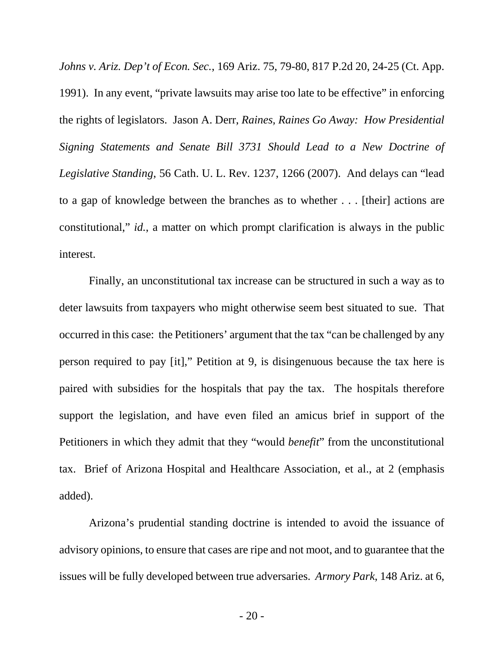*Johns v. Ariz. Dep't of Econ. Sec.*, 169 Ariz. 75, 79-80, 817 P.2d 20, 24-25 (Ct. App. 1991). In any event, "private lawsuits may arise too late to be effective" in enforcing the rights of legislators. Jason A. Derr, *Raines, Raines Go Away: How Presidential Signing Statements and Senate Bill 3731 Should Lead to a New Doctrine of Legislative Standing*, 56 Cath. U. L. Rev. 1237, 1266 (2007). And delays can "lead to a gap of knowledge between the branches as to whether . . . [their] actions are constitutional," *id.*, a matter on which prompt clarification is always in the public interest.

Finally, an unconstitutional tax increase can be structured in such a way as to deter lawsuits from taxpayers who might otherwise seem best situated to sue. That occurred in this case: the Petitioners' argument that the tax "can be challenged by any person required to pay [it]," Petition at 9, is disingenuous because the tax here is paired with subsidies for the hospitals that pay the tax. The hospitals therefore support the legislation, and have even filed an amicus brief in support of the Petitioners in which they admit that they "would *benefit*" from the unconstitutional tax. Brief of Arizona Hospital and Healthcare Association, et al., at 2 (emphasis added).

Arizona's prudential standing doctrine is intended to avoid the issuance of advisory opinions, to ensure that cases are ripe and not moot, and to guarantee that the issues will be fully developed between true adversaries. *Armory Park*, 148 Ariz. at 6,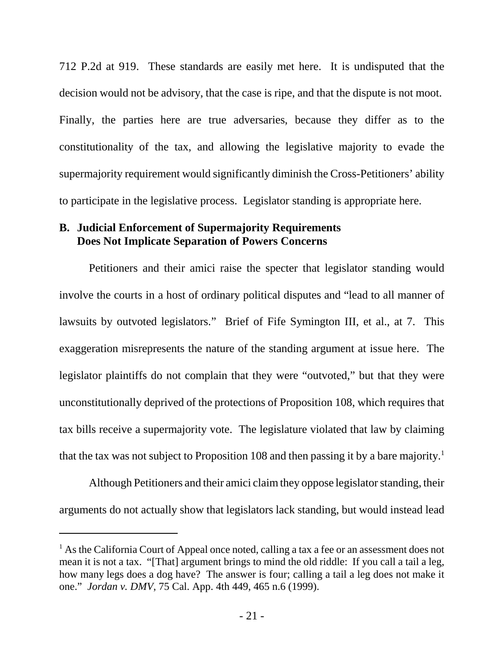712 P.2d at 919. These standards are easily met here. It is undisputed that the decision would not be advisory, that the case is ripe, and that the dispute is not moot. Finally, the parties here are true adversaries, because they differ as to the constitutionality of the tax, and allowing the legislative majority to evade the supermajority requirement would significantly diminish the Cross-Petitioners' ability to participate in the legislative process. Legislator standing is appropriate here.

### **B. Judicial Enforcement of Supermajority Requirements Does Not Implicate Separation of Powers Concerns**

Petitioners and their amici raise the specter that legislator standing would involve the courts in a host of ordinary political disputes and "lead to all manner of lawsuits by outvoted legislators." Brief of Fife Symington III, et al., at 7. This exaggeration misrepresents the nature of the standing argument at issue here. The legislator plaintiffs do not complain that they were "outvoted," but that they were unconstitutionally deprived of the protections of Proposition 108, which requires that tax bills receive a supermajority vote. The legislature violated that law by claiming that the tax was not subject to Proposition 108 and then passing it by a bare majority.<sup>1</sup>

Although Petitioners and their amici claim they oppose legislator standing, their arguments do not actually show that legislators lack standing, but would instead lead

<sup>&</sup>lt;sup>1</sup> As the California Court of Appeal once noted, calling a tax a fee or an assessment does not mean it is not a tax. "[That] argument brings to mind the old riddle: If you call a tail a leg, how many legs does a dog have? The answer is four; calling a tail a leg does not make it one." *Jordan v. DMV*, 75 Cal. App. 4th 449, 465 n.6 (1999).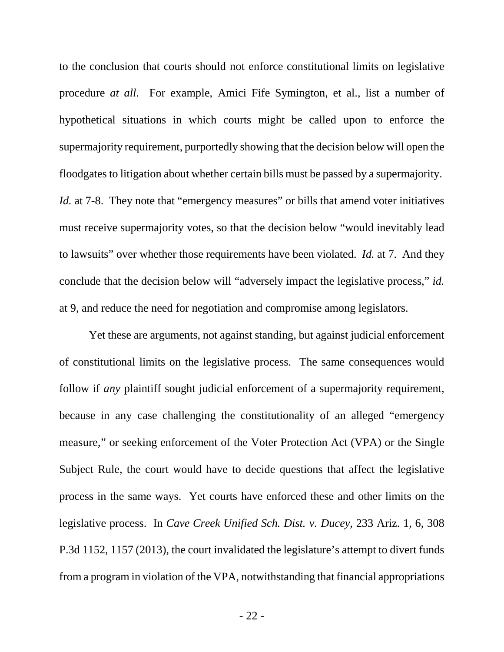to the conclusion that courts should not enforce constitutional limits on legislative procedure *at all*. For example, Amici Fife Symington, et al., list a number of hypothetical situations in which courts might be called upon to enforce the supermajority requirement, purportedly showing that the decision below will open the floodgates to litigation about whether certain bills must be passed by a supermajority. *Id.* at 7-8. They note that "emergency measures" or bills that amend voter initiatives must receive supermajority votes, so that the decision below "would inevitably lead to lawsuits" over whether those requirements have been violated. *Id.* at 7. And they conclude that the decision below will "adversely impact the legislative process," *id.* at 9, and reduce the need for negotiation and compromise among legislators.

Yet these are arguments, not against standing, but against judicial enforcement of constitutional limits on the legislative process. The same consequences would follow if *any* plaintiff sought judicial enforcement of a supermajority requirement, because in any case challenging the constitutionality of an alleged "emergency measure," or seeking enforcement of the Voter Protection Act (VPA) or the Single Subject Rule, the court would have to decide questions that affect the legislative process in the same ways. Yet courts have enforced these and other limits on the legislative process. In *Cave Creek Unified Sch. Dist. v. Ducey*, 233 Ariz. 1, 6, 308 P.3d 1152, 1157 (2013), the court invalidated the legislature's attempt to divert funds from a program in violation of the VPA, notwithstanding that financial appropriations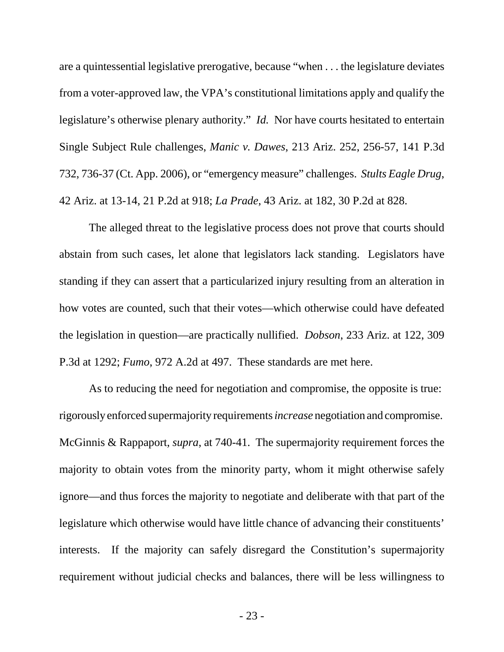are a quintessential legislative prerogative, because "when . . . the legislature deviates from a voter-approved law, the VPA's constitutional limitations apply and qualify the legislature's otherwise plenary authority." *Id.* Nor have courts hesitated to entertain Single Subject Rule challenges, *Manic v. Dawes*, 213 Ariz. 252, 256-57, 141 P.3d 732, 736-37 (Ct. App. 2006), or "emergency measure" challenges. *Stults Eagle Drug*, 42 Ariz. at 13-14, 21 P.2d at 918; *La Prade*, 43 Ariz. at 182, 30 P.2d at 828.

The alleged threat to the legislative process does not prove that courts should abstain from such cases, let alone that legislators lack standing. Legislators have standing if they can assert that a particularized injury resulting from an alteration in how votes are counted, such that their votes—which otherwise could have defeated the legislation in question—are practically nullified. *Dobson*, 233 Ariz. at 122, 309 P.3d at 1292; *Fumo*, 972 A.2d at 497. These standards are met here.

As to reducing the need for negotiation and compromise, the opposite is true: rigorously enforced supermajority requirements *increase* negotiation and compromise. McGinnis & Rappaport, *supra*, at 740-41. The supermajority requirement forces the majority to obtain votes from the minority party, whom it might otherwise safely ignore—and thus forces the majority to negotiate and deliberate with that part of the legislature which otherwise would have little chance of advancing their constituents' interests. If the majority can safely disregard the Constitution's supermajority requirement without judicial checks and balances, there will be less willingness to